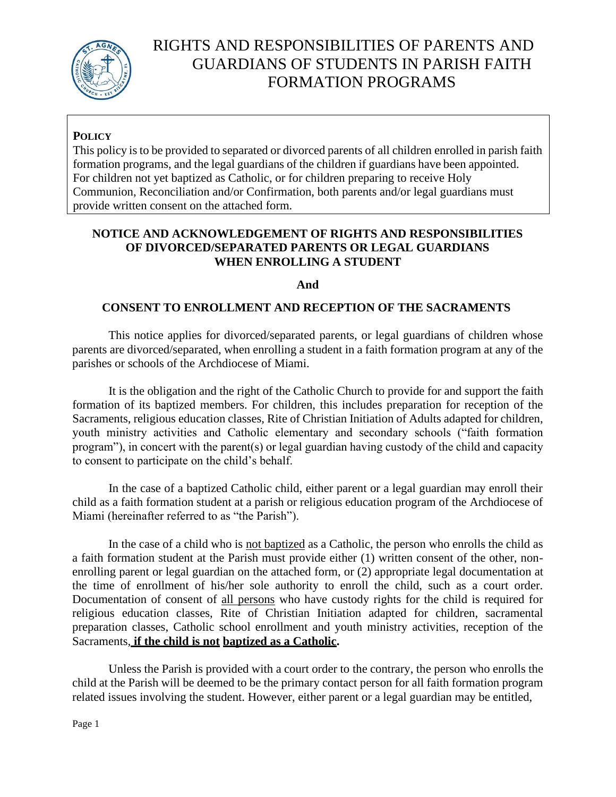

# RIGHTS AND RESPONSIBILITIES OF PARENTS AND GUARDIANS OF STUDENTS IN PARISH FAITH FORMATION PROGRAMS

### **POLICY**

This policy is to be provided to separated or divorced parents of all children enrolled in parish faith formation programs, and the legal guardians of the children if guardians have been appointed. For children not yet baptized as Catholic, or for children preparing to receive Holy Communion, Reconciliation and/or Confirmation, both parents and/or legal guardians must provide written consent on the attached form.

#### **NOTICE AND ACKNOWLEDGEMENT OF RIGHTS AND RESPONSIBILITIES OF DIVORCED/SEPARATED PARENTS OR LEGAL GUARDIANS WHEN ENROLLING A STUDENT**

#### **And**

#### **CONSENT TO ENROLLMENT AND RECEPTION OF THE SACRAMENTS**

This notice applies for divorced/separated parents, or legal guardians of children whose parents are divorced/separated, when enrolling a student in a faith formation program at any of the parishes or schools of the Archdiocese of Miami.

It is the obligation and the right of the Catholic Church to provide for and support the faith formation of its baptized members. For children, this includes preparation for reception of the Sacraments, religious education classes, Rite of Christian Initiation of Adults adapted for children, youth ministry activities and Catholic elementary and secondary schools ("faith formation program"), in concert with the parent(s) or legal guardian having custody of the child and capacity to consent to participate on the child's behalf.

In the case of a baptized Catholic child, either parent or a legal guardian may enroll their child as a faith formation student at a parish or religious education program of the Archdiocese of Miami (hereinafter referred to as "the Parish").

In the case of a child who is not baptized as a Catholic, the person who enrolls the child as a faith formation student at the Parish must provide either (1) written consent of the other, nonenrolling parent or legal guardian on the attached form, or (2) appropriate legal documentation at the time of enrollment of his/her sole authority to enroll the child, such as a court order. Documentation of consent of all persons who have custody rights for the child is required for religious education classes, Rite of Christian Initiation adapted for children, sacramental preparation classes, Catholic school enrollment and youth ministry activities, reception of the Sacraments, **if the child is not baptized as a Catholic.**

Unless the Parish is provided with a court order to the contrary, the person who enrolls the child at the Parish will be deemed to be the primary contact person for all faith formation program related issues involving the student. However, either parent or a legal guardian may be entitled,